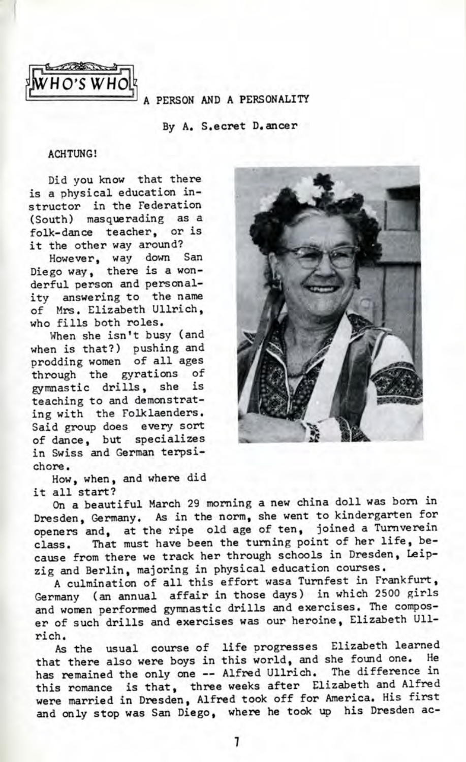

A *PERSON* AND A PERSONALITY

By A, S.ecret D.ancer

## ACHTUNG!

Did you know that there is a physical education instructor in the Federation (South) masquerading as a folk-dance teacher, or is it the other way around?

However, way down San Diego way, there is a wonderful person and personality answering to the name of Mrs. Elizabeth Ullrich, who fills both roles.

When she isn't busy (and when is that?) pushing and prodding women of all ages through the gyrations of gymnastic drills, she is teaching to and demonstrating with the Folklaenders. Said group does every sort of dance, but specializes in Swiss and German terpsichore.

How, when, and where did it all start?



On a beautiful March 29 morning a new china doll was born in Dresden, Germany. As in the norm, she went to kindergarten for openers and, at the ripe old age of ten, joined a Turnverein class. That must have been the turning point of her life, because from there we track her through schools in Dresden, Leipzig and Berlin, majoring in physical education courses.

A culmination of all this effort wasa Tumfest in Frankfurt, Germany (an annual affair in those days) in which 2500 girls and women performed gymnastic drills and exercises. The composer of such drills and exercises was our heroine, Elizabeth Ullrich.

As the usual course of life progresses Elizabeth learned that there also were boys in this world, and she found one. He has remained the only one -- Alfred Ullrich. The difference in this romance is that, three weeks after Elizabeth and Alfred were married in Dresden, Alfred took off for America. His first and only stop was San Diego, where he took up his Dresden ac